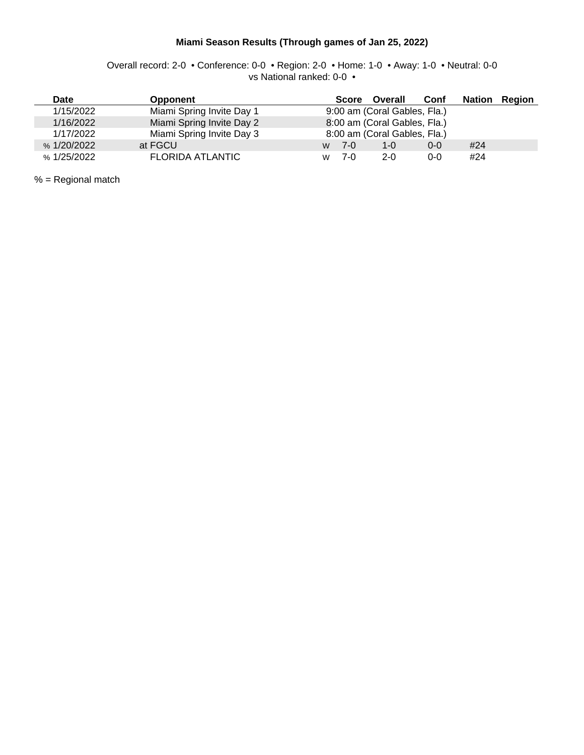#### **Miami Season Results (Through games of Jan 25, 2022)**

Overall record: 2-0 • Conference: 0-0 • Region: 2-0 • Home: 1-0 • Away: 1-0 • Neutral: 0-0 vs National ranked: 0-0 •

| Date        | <b>Opponent</b>           | <b>Nation</b><br>Conf<br>Overall<br>Region<br>Score |
|-------------|---------------------------|-----------------------------------------------------|
| 1/15/2022   | Miami Spring Invite Day 1 | 9:00 am (Coral Gables, Fla.)                        |
| 1/16/2022   | Miami Spring Invite Day 2 | 8:00 am (Coral Gables, Fla.)                        |
| 1/17/2022   | Miami Spring Invite Day 3 | 8:00 am (Coral Gables, Fla.)                        |
| % 1/20/2022 | at FGCU                   | #24<br>1-0<br>7-0<br>$0 - 0$<br>W                   |
| % 1/25/2022 | FLORIDA ATLANTIC          | #24<br>7-0<br>$2 - 0$<br>0-0<br>W                   |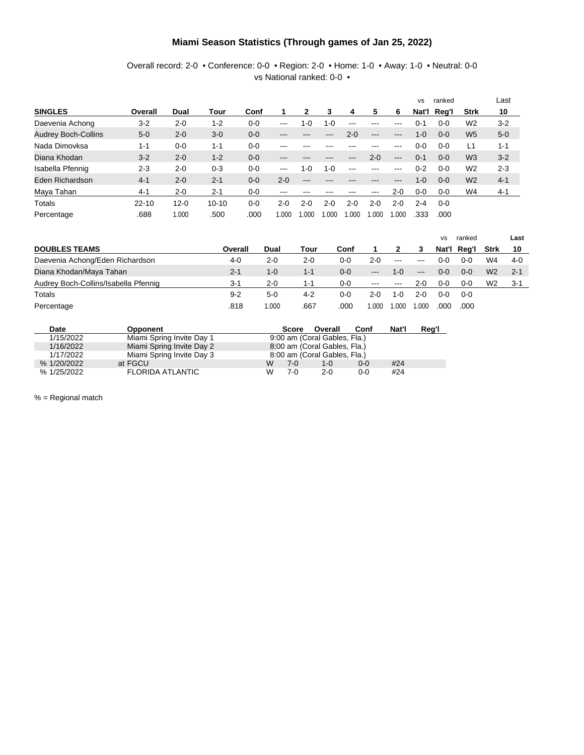#### **Miami Season Statistics (Through games of Jan 25, 2022)**

Overall record: 2-0 • Conference: 0-0 • Region: 2-0 • Home: 1-0 • Away: 1-0 • Neutral: 0-0 vs National ranked: 0-0 •

|                            |           |          |           |         |         |         |         |         |         |         | <b>VS</b> | ranked  |                | Last    |
|----------------------------|-----------|----------|-----------|---------|---------|---------|---------|---------|---------|---------|-----------|---------|----------------|---------|
| <b>SINGLES</b>             | Overall   | Dual     | Tour      | Conf    |         | 2       | 3       | 4       | 5       | 6       | Nat'l     | Req'l   | <b>Strk</b>    | 10      |
| Daevenia Achong            | $3 - 2$   | $2 - 0$  | $1 - 2$   | $0 - 0$ | $---$   | 1-0     | $1 - 0$ | ---     | ---     |         | ი-1       | $0 - 0$ | W <sub>2</sub> | $3 - 2$ |
| <b>Audrey Boch-Collins</b> | $5 - 0$   | $2 - 0$  | $3-0$     | $0 - 0$ | ---     |         | ---     | $2 - 0$ | ---     | ---     | $1 - 0$   | $0 - 0$ | W <sub>5</sub> | $5-0$   |
| Nada Dimovksa              | 1-1       | $0 - 0$  | $1 - 1$   | $0 - 0$ | ---     |         |         |         |         |         | $0 - 0$   | $0 - 0$ | L1             | $1 - 1$ |
| Diana Khodan               | $3 - 2$   | $2 - 0$  | $1 - 2$   | $0 - 0$ | ---     |         |         |         | $2 - 0$ | $---$   | $0 - 1$   | $0 - 0$ | W <sub>3</sub> | $3 - 2$ |
| Isabella Pfennig           | $2 - 3$   | $2 - 0$  | $0 - 3$   | $0 - 0$ | $---$   | $1 - 0$ | $1 - 0$ | ---     | ---     |         | $0 - 2$   | $0 - 0$ | W <sub>2</sub> | $2 - 3$ |
| Eden Richardson            | $4 - 1$   | $2 - 0$  | $2 - 1$   | $0 - 0$ | $2 - 0$ | ---     |         |         |         | ---     | $1 - 0$   | $0 - 0$ | W <sub>2</sub> | $4 - 1$ |
| Maya Tahan                 | $4 - 1$   | $2 - 0$  | $2 - 1$   | $0 - 0$ | ---     |         |         |         | ---     | $2 - 0$ | $0-0$     | $0 - 0$ | W4             | $4 - 1$ |
| Totals                     | $22 - 10$ | $12 - 0$ | $10 - 10$ | $0 - 0$ | $2 - 0$ | $2-0$   | $2-0$   | $2-0$   | $2-0$   | $2 - 0$ | $2 - 4$   | $0 - 0$ |                |         |
| Percentage                 | .688      | 1.000    | .500      | .000    | .000    | 1.000   | .000    | 1.000   | .000    | 1.000   | .333      | .000    |                |         |

|                                      |         |         |         |         |         |          |         | <b>VS</b> | ranked  |                | Last    |
|--------------------------------------|---------|---------|---------|---------|---------|----------|---------|-----------|---------|----------------|---------|
| <b>DOUBLES TEAMS</b>                 | Overall | Dual    | Tour    | Conf    |         |          |         | Nat'l     | Rea'l   | Strk           | 10      |
| Daevenia Achong/Eden Richardson      | 4-0     | $2 - 0$ | $2 - 0$ | 0-0     | $2-0$   | $\cdots$ | $---$   | ი-ი       | $0 - 0$ | W4             | $4-0$   |
| Diana Khodan/Maya Tahan              | $2 - 1$ | $1 - 0$ | $1 - 1$ | 0-0     | $---$   | $1 - 0$  | $---$   | $0 - 0$   | $0 - 0$ | W2             | $2 - 1$ |
| Audrey Boch-Collins/Isabella Pfennig | $3-1$   | $2 - 0$ | 1-1     | $0 - 0$ | $- - -$ | $- - -$  | $2 - 0$ | $0 - 0$   | $0 - 0$ | W <sub>2</sub> | $3 - 1$ |
| Totals                               | $9 - 2$ | $5-0$   | 4-2     | 0-0     | 2-0     | 1-0      | $2 - 0$ | റ-റ       | 0-0     |                |         |
| Percentage                           | .818    | 1.000   | .667    | .000    | .000    | 1.000    | .000    | .000      | .000    |                |         |

| Date        | Opponent                  | Nat'l<br>Conf<br>Overall<br><b>Score</b> | Reg'l |
|-------------|---------------------------|------------------------------------------|-------|
| 1/15/2022   | Miami Spring Invite Day 1 | 9:00 am (Coral Gables, Fla.)             |       |
| 1/16/2022   | Miami Spring Invite Day 2 | 8:00 am (Coral Gables, Fla.)             |       |
| 1/17/2022   | Miami Spring Invite Day 3 | 8:00 am (Coral Gables, Fla.)             |       |
| % 1/20/2022 | at FGCU                   | W<br>#24<br>7-0.<br>$0-0$<br>$1 - 0$     |       |
| % 1/25/2022 | <b>FLORIDA ATLANTIC</b>   | W<br>#24<br>7-0<br>$2-0$<br>$0 - 0$      |       |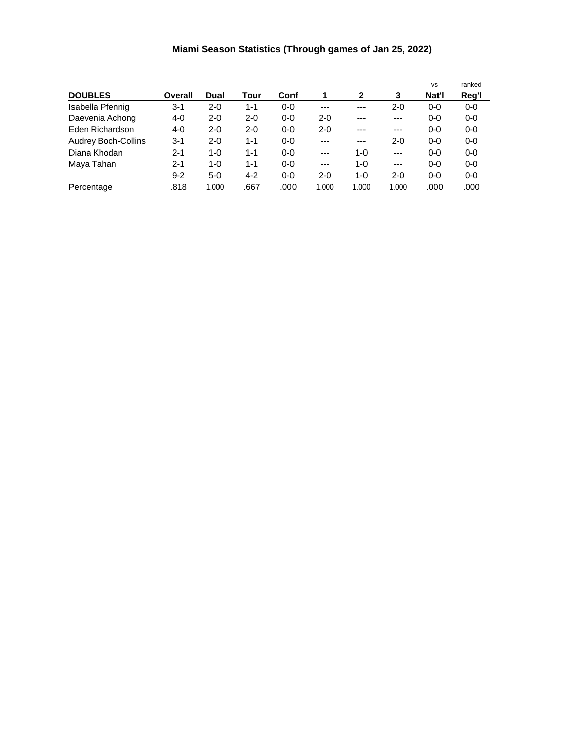### **Miami Season Statistics (Through games of Jan 25, 2022)**

|                            |         |         |         |         |         |              |         | <b>VS</b> | ranked |
|----------------------------|---------|---------|---------|---------|---------|--------------|---------|-----------|--------|
| <b>DOUBLES</b>             | Overall | Dual    | Tour    | Conf    |         | $\mathbf{2}$ | 3       | Nat'l     | Reg'l  |
| Isabella Pfennig           | 3-1     | $2 - 0$ | $1 - 1$ | $0 - 0$ | $---$   | $---$        | $2 - 0$ | $0 - 0$   | $0-0$  |
| Daevenia Achong            | 4-0     | $2 - 0$ | $2 - 0$ | $0 - 0$ | $2 - 0$ | $---$        | ---     | $0 - 0$   | $0-0$  |
| Eden Richardson            | $4 - 0$ | $2 - 0$ | $2 - 0$ | $0 - 0$ | $2 - 0$ | $---$        | ---     | $0 - 0$   | $0-0$  |
| <b>Audrey Boch-Collins</b> | 3-1     | $2 - 0$ | $1 - 1$ | $0 - 0$ | $---$   | $---$        | $2 - 0$ | $0 - 0$   | $0-0$  |
| Diana Khodan               | $2 - 1$ | $1 - 0$ | $1 - 1$ | $0 - 0$ | $---$   | $1 - 0$      | $---$   | $0 - 0$   | $0-0$  |
| Maya Tahan                 | 2-1     | 1-0     | $1 - 1$ | $0-0$   | $---$   | 1-0          | ---     | $0-0$     | 0-0    |
|                            | $9 - 2$ | $5-0$   | $4 - 2$ | $0 - 0$ | $2 - 0$ | $1 - 0$      | $2 - 0$ | $0 - 0$   | $0-0$  |
| Percentage                 | .818    | 1.000   | .667    | .000    | 1.000   | 1.000        | 1.000   | .000      | .000   |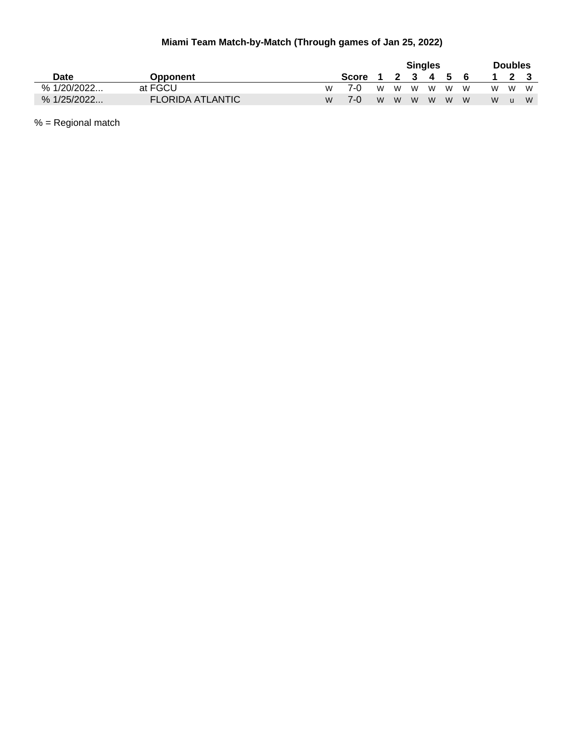### **Miami Team Match-by-Match (Through games of Jan 25, 2022)**

|             |                         |    |       |   |           | <b>Singles</b> |             |    | <b>Doubles</b> |    |
|-------------|-------------------------|----|-------|---|-----------|----------------|-------------|----|----------------|----|
| Date        | <b>Opponent</b>         |    | Score |   | 2 3 4 5 6 |                |             |    | 2 <sub>3</sub> |    |
| % 1/20/2022 | at FGCU                 | W. | 7-0   |   |           |                | w w w w w w | W. | M              | W  |
| % 1/25/2022 | <b>FLORIDA ATLANTIC</b> | M  | 7-0   | W | w w w w w |                |             | W. | $\blacksquare$ | W. |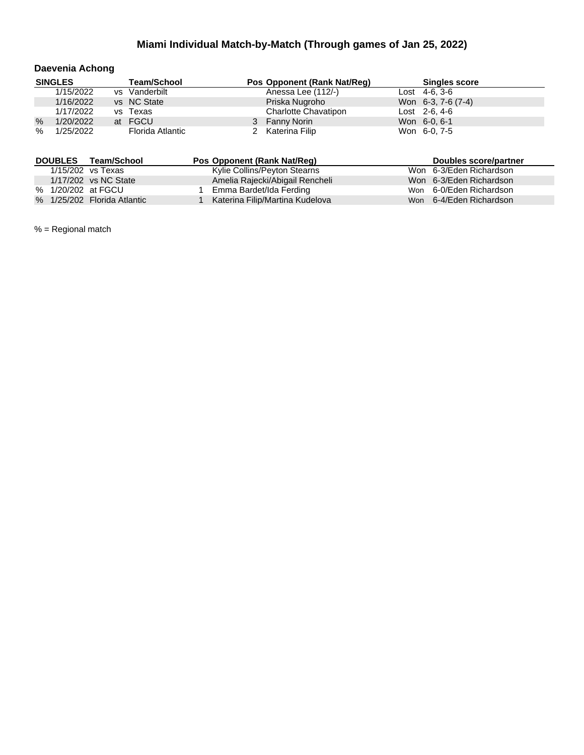#### **Daevenia Achong**

|      | <b>SINGLES</b> | <b>Team/School</b> | Pos Opponent (Rank Nat/Reg) | <b>Singles score</b> |
|------|----------------|--------------------|-----------------------------|----------------------|
|      | 1/15/2022      | vs Vanderbilt      | Anessa Lee (112/-)          | Lost $4-6, 3-6$      |
|      | 1/16/2022      | vs NC State        | Priska Nugroho              | Won 6-3, 7-6 (7-4)   |
|      | 1/17/2022      | vs Texas           | Charlotte Chavatipon        | $Last 2-6, 4-6$      |
| $\%$ | 1/20/2022      | at FGCU            | 3 Fanny Norin               | Won 6-0, 6-1         |
| $\%$ | 1/25/2022      | Florida Atlantic   | 2 Katerina Filip            | Won 6-0, 7-5         |

| <b>DOUBLES</b> | Team/School                 | Pos Opponent (Rank Nat/Req)     | Doubles score/partner   |  |
|----------------|-----------------------------|---------------------------------|-------------------------|--|
|                | 1/15/202 vs Texas           | Kylie Collins/Peyton Stearns    | Won 6-3/Eden Richardson |  |
|                | 1/17/202 vs NC State        | Amelia Rajecki/Abigail Rencheli | Won 6-3/Eden Richardson |  |
|                | % 1/20/202 at FGCU          | Emma Bardet/Ida Ferding         | Won 6-0/Eden Richardson |  |
|                | % 1/25/202 Florida Atlantic | Katerina Filip/Martina Kudelova | Won 6-4/Eden Richardson |  |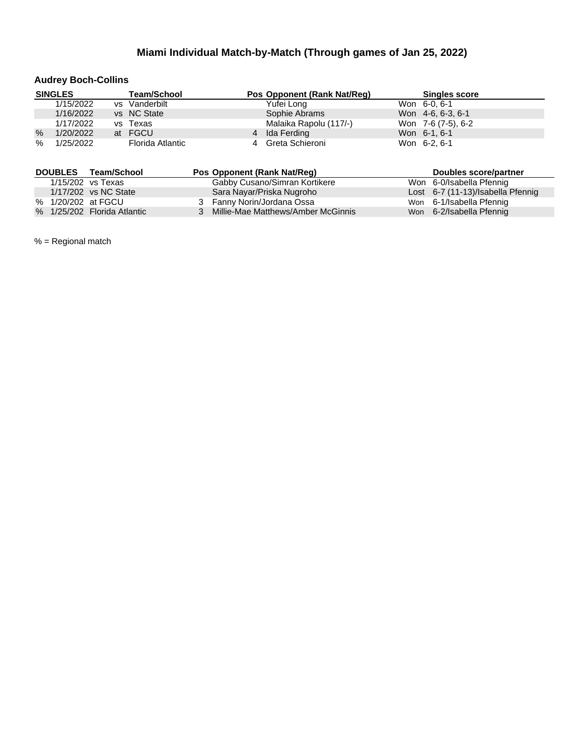### **Audrey Boch-Collins**

|      | <b>SINGLES</b> | <b>Team/School</b> | Pos Opponent (Rank Nat/Reg) | <b>Singles score</b> |
|------|----------------|--------------------|-----------------------------|----------------------|
|      | 1/15/2022      | vs Vanderbilt      | Yufei Long                  | Won 6-0, 6-1         |
|      | 1/16/2022      | vs NC State        | Sophie Abrams               | Won 4-6, 6-3, 6-1    |
|      | 1/17/2022      | vs Texas           | Malaika Rapolu (117/-)      | Won 7-6 (7-5), 6-2   |
| $\%$ | 1/20/2022      | at FGCU            | 4 Ida Ferding               | Won 6-1, 6-1         |
| $\%$ | 1/25/2022      | Florida Atlantic   | Greta Schieroni             | Won 6-2, 6-1         |

| <b>DOUBLES</b> | Team/School                 | Pos Opponent (Rank Nat/Reg)        | Doubles score/partner             |
|----------------|-----------------------------|------------------------------------|-----------------------------------|
|                | $1/15/202$ vs Texas         | Gabby Cusano/Simran Kortikere      | Won 6-0/Isabella Pfennig          |
|                | 1/17/202 vs NC State        | Sara Nayar/Priska Nugroho          | Lost 6-7 (11-13)/Isabella Pfennig |
|                | % 1/20/202 at FGCU          | 3 Fanny Norin/Jordana Ossa         | Won 6-1/Isabella Pfennig          |
|                | % 1/25/202 Florida Atlantic | Millie-Mae Matthews/Amber McGinnis | Won 6-2/Isabella Pfennig          |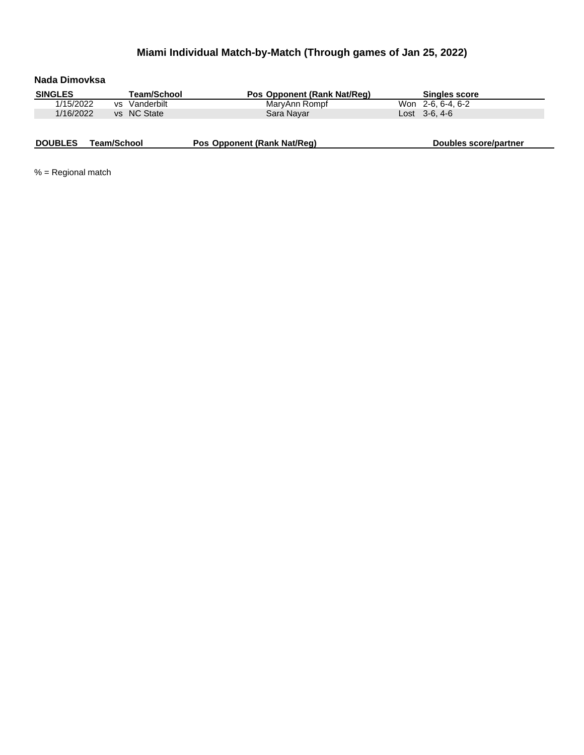| Nada Dimovksa  |             |                    |                             |                       |
|----------------|-------------|--------------------|-----------------------------|-----------------------|
| <b>SINGLES</b> |             | <b>Team/School</b> | Pos Opponent (Rank Nat/Req) | <b>Singles score</b>  |
| 1/15/2022      | vs.         | Vanderbilt         | MaryAnn Rompf               | Won 2-6, 6-4, 6-2     |
| 1/16/2022      |             | vs NC State        | Sara Nayar                  | $Last \, 3-6.4-6$     |
|                |             |                    |                             |                       |
| <b>DOUBLES</b> | Team/School |                    | Pos Opponent (Rank Nat/Req) | Doubles score/partner |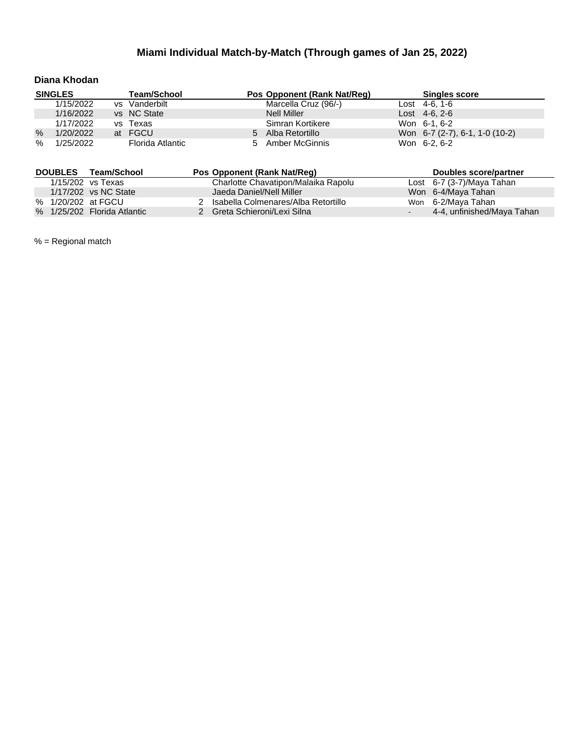#### **Diana Khodan**

|               | <b>SINGLES</b> | <b>Team/School</b> |   | Pos Opponent (Rank Nat/Reg) | <b>Singles score</b>           |
|---------------|----------------|--------------------|---|-----------------------------|--------------------------------|
|               | 1/15/2022      | vs Vanderbilt      |   | Marcella Cruz (96/-)        | Lost $4-6, 1-6$                |
|               | 1/16/2022      | vs NC State        |   | Nell Miller                 | $\text{Lost}$ 4-6, 2-6         |
|               | 1/17/2022      | vs Texas           |   | Simran Kortikere            | Won 6-1, 6-2                   |
| $\frac{0}{0}$ | 1/20/2022      | at FGCU            | 5 | Alba Retortillo             | Won 6-7 (2-7), 6-1, 1-0 (10-2) |
| $\%$          | 1/25/2022      | Florida Atlantic   |   | 5 Amber McGinnis            | Won 6-2, 6-2                   |

| <b>DOUBLES</b> | Team/School                 | Pos Opponent (Rank Nat/Reg)         | Doubles score/partner       |
|----------------|-----------------------------|-------------------------------------|-----------------------------|
|                | 1/15/202 vs Texas           | Charlotte Chavatipon/Malaika Rapolu | Lost $6-7$ (3-7)/Maya Tahan |
|                | 1/17/202 vs NC State        | Jaeda Daniel/Nell Miller            | Won 6-4/Maya Tahan          |
|                | % 1/20/202 at FGCU          | Isabella Colmenares/Alba Retortillo | Won 6-2/Maya Tahan          |
|                | % 1/25/202 Florida Atlantic | 2 Greta Schieroni/Lexi Silna        | 4-4, unfinished/Maya Tahan  |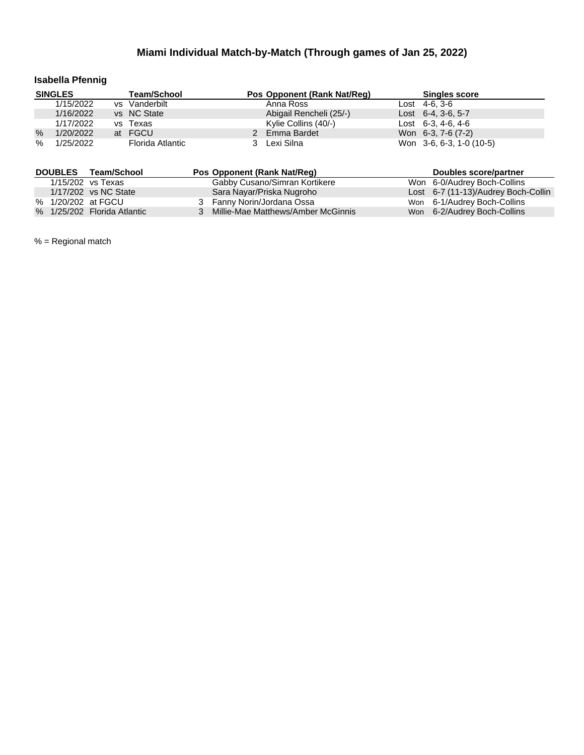### **Isabella Pfennig**

|               | <b>SINGLES</b> | <b>Team/School</b> | Pos Opponent (Rank Nat/Reg) | <b>Singles score</b>       |
|---------------|----------------|--------------------|-----------------------------|----------------------------|
|               | 1/15/2022      | vs Vanderbilt      | Anna Ross                   | Lost $4-6, 3-6$            |
|               | 1/16/2022      | vs NC State        | Abigail Rencheli (25/-)     | Lost $6-4$ , $3-6$ , $5-7$ |
|               | 1/17/2022      | vs Texas           | Kylie Collins (40/-)        | Lost $6-3, 4-6, 4-6$       |
| $\frac{0}{0}$ | 1/20/2022      | at FGCU            | 2 Emma Bardet               | Won 6-3, 7-6 (7-2)         |
| $\%$          | 1/25/2022      | Florida Atlantic   | Lexi Silna                  | Won 3-6, 6-3, 1-0 (10-5)   |

|  | DOUBLES Team/School         | Pos Opponent (Rank Nat/Reg)          | Doubles score/partner               |
|--|-----------------------------|--------------------------------------|-------------------------------------|
|  | 1/15/202 vs Texas           | Gabby Cusano/Simran Kortikere        | Won 6-0/Audrey Boch-Collins         |
|  | 1/17/202 vs NC State        | Sara Nayar/Priska Nugroho            | Lost 6-7 (11-13)/Audrey Boch-Collin |
|  | % 1/20/202 at FGCU          | 3 Fanny Norin/Jordana Ossa           | Won 6-1/Audrey Boch-Collins         |
|  | % 1/25/202 Florida Atlantic | 3 Millie-Mae Matthews/Amber McGinnis | Won 6-2/Audrey Boch-Collins         |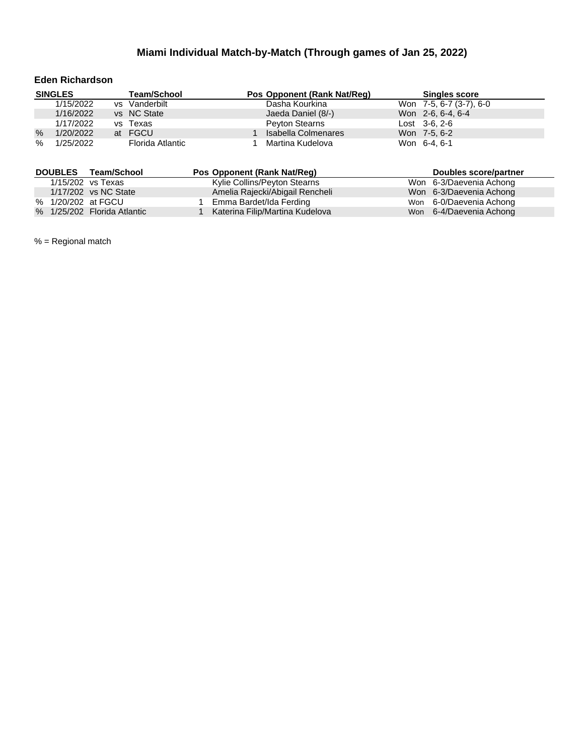#### **Eden Richardson**

|      | <b>SINGLES</b> | <b>Team/School</b> | Pos Opponent (Rank Nat/Reg) | <b>Singles score</b>        |  |
|------|----------------|--------------------|-----------------------------|-----------------------------|--|
|      | 1/15/2022      | vs Vanderbilt      | Dasha Kourkina              | Won 7-5, 6-7 (3-7), 6-0     |  |
|      | 1/16/2022      | vs NC State        | Jaeda Daniel (8/-)          | Won 2-6, 6-4, 6-4           |  |
|      | 1/17/2022      | vs Texas           | <b>Peyton Stearns</b>       | $\text{Last} \quad 3-6.2-6$ |  |
| $\%$ | 1/20/2022      | at FGCU            | Isabella Colmenares         | Won 7-5, 6-2                |  |
| $\%$ | 1/25/2022      | Florida Atlantic   | Martina Kudelova            | Won 6-4, 6-1                |  |

| <b>DOUBLES</b> | Team/School                 | Pos Opponent (Rank Nat/Reg)     | Doubles score/partner   |  |
|----------------|-----------------------------|---------------------------------|-------------------------|--|
|                | 1/15/202 vs Texas           | Kylie Collins/Peyton Stearns    | Won 6-3/Daevenia Achong |  |
|                | 1/17/202 vs NC State        | Amelia Rajecki/Abigail Rencheli | Won 6-3/Daevenia Achong |  |
|                | % 1/20/202 at FGCU          | Emma Bardet/Ida Ferding         | Won 6-0/Daevenia Achong |  |
|                | % 1/25/202 Florida Atlantic | Katerina Filip/Martina Kudelova | Won 6-4/Daevenia Achong |  |